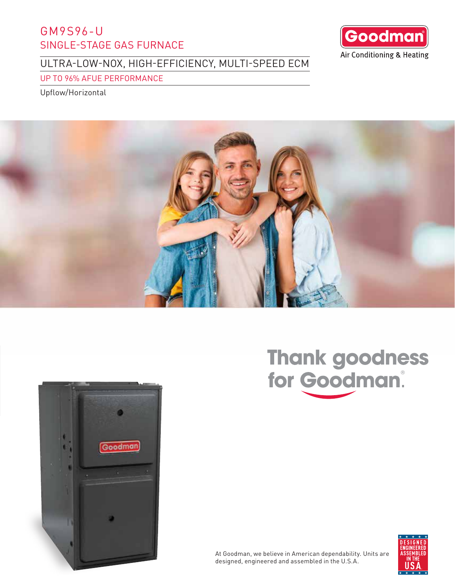# GM9S96-U SINGLE-STAGE GAS FURNACE

ULTRA-LOW-NOX, HIGH-EFFICIENCY, MULTI-SPEED ECM

UP TO 96% AFUE PERFORMANCE

Upflow/Horizontal







# Thank goodness<br>for Goodman.



At Goodman, we believe in American dependability. Units are designed, engineered and assembled in the U.S.A.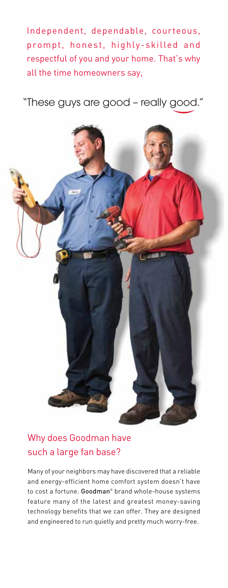Independent, dependable, courteous, prompt, honest, highly-skilled and respectful of you and your home. That's why all the time homeowners say,

"These guys are good – really good."



# Why does Goodman have such a large fan base?

Many of your neighbors may have discovered that a reliable and energy-efficient home comfort system doesn't have to cost a fortune. Goodman<sup>®</sup> brand whole-house systems feature many of the latest and greatest money-saving technology benefits that we can offer. They are designed and engineered to run quietly and pretty much worry-free.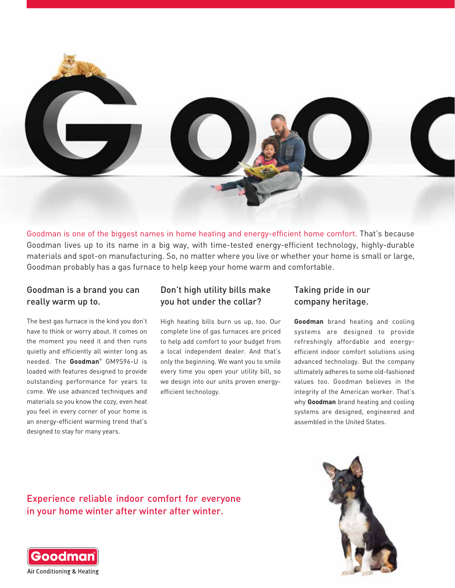

Goodman is one of the biggest names in home heating and energy-efficient home comfort. That's because Goodman lives up to its name in a big way, with time-tested energy-efficient technology, highly-durable materials and spot-on manufacturing. So, no matter where you live or whether your home is small or large, Goodman probably has a gas furnace to help keep your home warm and comfortable.

## Goodman is a brand you can really warm up to.

The best gas furnace is the kind you don't have to think or worry about. It comes on the moment you need it and then runs quietly and efficiently all winter long as needed. The **Goodman**® GM9S96-U is loaded with features designed to provide outstanding performance for years to come. We use advanced techniques and materials so you know the cozy, even heat you feel in every corner of your home is an energy-efficient warming trend that's designed to stay for many years.

# Don't high utility bills make you hot under the collar?

High heating bills burn us up, too. Our complete line of gas furnaces are priced to help add comfort to your budget from a local independent dealer. And that's only the beginning. We want you to smile every time you open your utility bill, so we design into our units proven energyefficient technology.

## Taking pride in our company heritage.

**Goodman** brand heating and cooling systems are designed to provide refreshingly affordable and energyefficient indoor comfort solutions using advanced technology. But the company ultimately adheres to some old-fashioned values too. Goodman believes in the integrity of the American worker. That's why **Goodman** brand heating and cooling systems are designed, engineered and assembled in the United States.

Experience reliable indoor comfort for everyone in your home winter after winter after winter.



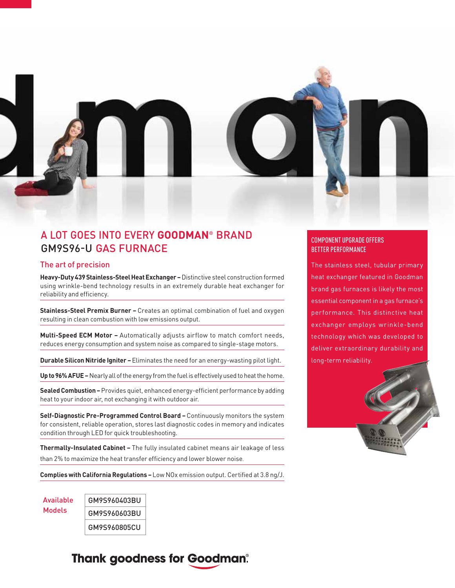

# A LOT GOES INTO EVERY **GOODMAN**® BRAND GM9S96-U GAS FURNACE

#### The art of precision

**Heavy-Duty 439 Stainless-Steel Heat Exchanger –** Distinctive steel construction formed using wrinkle-bend technology results in an extremely durable heat exchanger for reliability and efficiency.

**Stainless-Steel Premix Burner –** Creates an optimal combination of fuel and oxygen resulting in clean combustion with low emissions output.

**Multi-Speed ECM Motor –** Automatically adjusts airflow to match comfort needs, reduces energy consumption and system noise as compared to single-stage motors.

**Durable Silicon Nitride Igniter –**Eliminates the need for an energy-wasting pilot light.

**Up to 96% AFUE –** Nearly all of the energy from the fuel is effectively used to heat the home.

**Sealed Combustion –** Provides quiet, enhanced energy-efficient performance by adding heat to your indoor air, not exchanging it with outdoor air.

**Self-Diagnostic Pre-Programmed Control Board –** Continuously monitors the system for consistent, reliable operation, stores last diagnostic codes in memory and indicates condition through LED for quick troubleshooting.

**Thermally-Insulated Cabinet –** The fully insulated cabinet means air leakage of less than 2% to maximize the heat transfer efficiency and lower blower noise.

**Complies with California Regulations –**Low NOx emission output. Certified at 3.8 ng/J.

GM9S960403BU GM9S960603BU GM9S960805CU Available Models

# **Thank goodness for Goodman®**

### COMPONENT UPGRADE OFFERS BETTER PERFORMANCE

The stainless steel, tubular primary heat exchanger featured in Goodman brand gas furnaces is likely the most essential component in a gas furnace's performance. This distinctive heat exchanger employs wrinkle-bend technology which was developed to deliver extraordinary durability and long-term reliability.

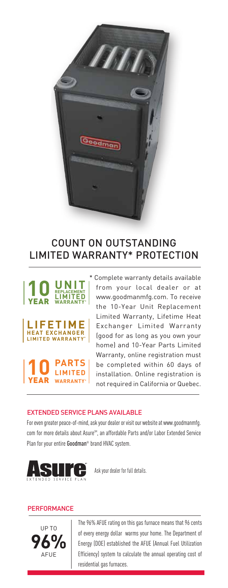

# COUNT ON OUTSTANDING LIMITED WARRANTY\* PROTECTION



Complete warranty details available from your local dealer or at www.goodmanmfg.com. To receive the 10-Year Unit Replacement Limited Warranty, Lifetime Heat Exchanger Limited Warranty (good for as long as you own your home) and 10-Year Parts Limited Warranty, online registration must be completed within 60 days of installation. Online registration is not required in California or Quebec.

#### EXTENDED SERVICE PLANS AVAILABLE

For even greater peace-of-mind, ask your dealer or visit our website at www.goodmanmfg. com for more details about Asure<sup>SM</sup>, an affordable Parts and/or Labor Extended Service Plan for your entire Goodman<sup>®</sup> brand HVAC system.



Ask your dealer for full details.

#### **PERFORMANCE**



The 96% AFUE rating on this gas furnace means that 96 cents of every energy dollar warms your home. The Department of Energy (DOE) established the AFUE (Annual Fuel Utilization Efficiency) system to calculate the annual operating cost of residential gas furnaces.